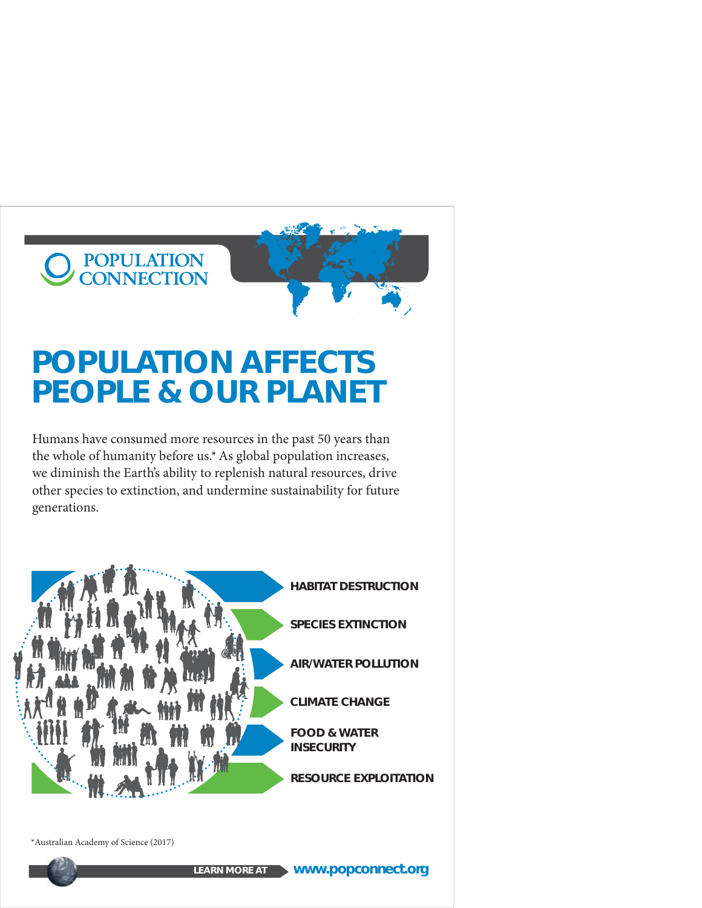## POPULATION<br>CONNECTION



### **POPULATION AFFECTS PEOPLE & OUR PLANET**

Humans have consumed more resources in the past 50 years than the whole of humanity before us.\* As global population increases, we diminish the Earth's ability to replenish natural resources, drive other species to extinction, and undermine sustainability for future generations.



\*Australian Academy of Science (2017)